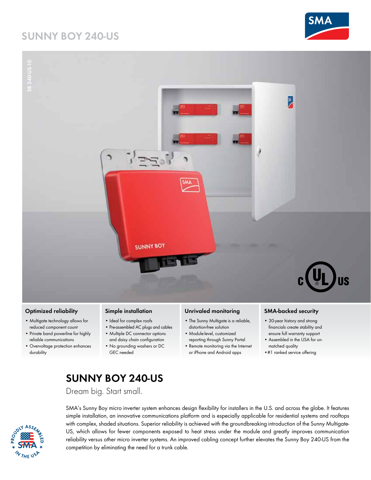## **Sunny Boy 240-US**





#### **Optimized reliability**

- Multigate technology allows for reduced component count
- Private band powerline for highly reliable communications
- Overvoltage protection enhances durability

#### **Simple installation**

- Ideal for complex roofs
- Pre-assembled AC plugs and cables • Multiple DC connector options
- and daisy chain configuration
- No grounding washers or DC GEC needed

#### **Unrivaled monitoring**

- The Sunny Multigate is a reliable, distortion-free solution
- Module-level, customized reporting through Sunny Portal
- Remote monitoring via the Internet or iPhone and Android apps

#### **SMA-backed security**

- 30-year history and strong financials create stability and ensure full warranty support
- Assembled in the USA for unmatched quality
- •#1 ranked service offering

# **Sunny Boy 240-US**

Dream big. Start small.



SMA's Sunny Boy micro inverter system enhances design flexibility for installers in the U.S. and across the globe. It features simple installation, an innovative communications platform and is especially applicable for residential systems and rooftops with complex, shaded situations. Superior reliability is achieved with the groundbreaking introduction of the Sunny Multigate-US, which allows for fewer components exposed to heat stress under the module and greatly improves communication reliability versus other micro inverter systems. An improved cabling concept further elevates the Sunny Boy 240-US from the competition by eliminating the need for a trunk cable.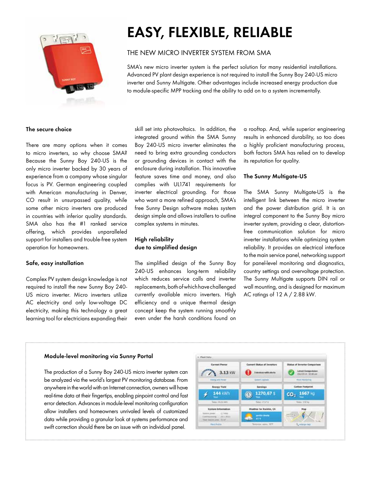

# **Easy, flexible, reliable**

## the new micro inverter system from SMA

SMA's new micro inverter system is the perfect solution for many residential installations. Advanced PV plant design experience is not required to install the Sunny Boy 240-US micro inverter and Sunny Multigate. Other advantages include increased energy production due to module-specific MPP tracking and the ability to add on to a system incrementally.

#### **The secure choice**

There are many options when it comes to micro inverters, so why choose SMA? Because the Sunny Boy 240-US is the only micro inverter backed by 30 years of experience from a company whose singular focus is PV. German engineering coupled with American manufacturing in Denver, CO result in unsurpassed quality, while some other micro inverters are produced in countries with inferior quality standards. SMA also has the #1 ranked service offering, which provides unparalleled support for installers and trouble-free system operation for homeowners.

#### **Safe, easy installation**

Complex PV system design knowledge is not required to install the new Sunny Boy 240- US micro inverter. Micro inverters utilize AC electricity and only low-voltage DC electricity, making this technology a great learning tool for electricians expanding their

skill set into photovoltaics. In addition, the integrated ground within the SMA Sunny Boy 240-US micro inverter eliminates the need to bring extra grounding conductors or grounding devices in contact with the enclosure during installation. This innovative feature saves time and money, and also complies with UL1741 requirements for inverter electrical grounding. For those who want a more refined approach, SMA's free Sunny Design software makes system design simple and allows installers to outline complex systems in minutes.

## **High reliability due to simplified design**

The simplified design of the Sunny Boy 240-US enhances long-term reliability which reduces service calls and inverter replacements, both of which have challenged currently available micro inverters. High efficiency and a unique thermal design concept keep the system running smoothly even under the harsh conditions found on

a rooftop. And, while superior engineering results in enhanced durability, so too does a highly proficient manufacturing process, both factors SMA has relied on to develop its reputation for quality.

#### **The Sunny Multigate-US**

The SMA Sunny Multigate-US is the intelligent link between the micro inverter and the power distribution grid. It is an integral component to the Sunny Boy micro inverter system, providing a clear, distortionfree communication solution for micro inverter installations while optimizing system reliability. It provides an electrical interface to the main service panel, networking support for panel-level monitoring and diagnostics, country settings and overvoltage protection. The Sunny Multigate supports DIN rail or wall mounting, and is designed for maximum AC ratings of 12 A / 2.88 kW.

#### **Module-level monitoring via Sunny Portal**

The production of a Sunny Boy 240-US micro inverter system can be analyzed via the world's largest PV monitoring database. From anywhere in the world with an Internet connection, owners will have real-time data at their fingertips, enabling pinpoint control and fast error detection. Advances in module-level monitoring configuration allow installers and homeowners unrivaled levels of customized data while providing a granular look at systems performance and swift correction should there be an issue with an individual panel.

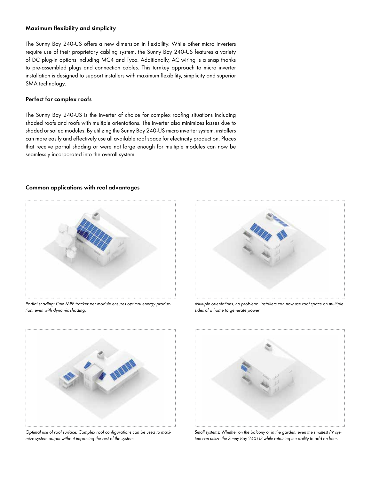#### **Maximum flexibility and simplicity**

The Sunny Boy 240-US offers a new dimension in flexibility. While other micro inverters require use of their proprietary cabling system, the Sunny Boy 240-US features a variety of DC plug-in options including MC4 and Tyco. Additionally, AC wiring is a snap thanks to pre-assembled plugs and connection cables. This turnkey approach to micro inverter installation is designed to support installers with maximum flexibility, simplicity and superior SMA technology.

#### **Perfect for complex roofs**

The Sunny Boy 240-US is the inverter of choice for complex roofing situations including shaded roofs and roofs with multiple orientations. The inverter also minimizes losses due to shaded or soiled modules. By utilizing the Sunny Boy 240-US micro inverter system, installers can more easily and effectively use all available roof space for electricity production. Places that receive partial shading or were not large enough for multiple modules can now be seamlessly incorporated into the overall system.

#### **Common applications with real advantages**



*Partial shading: One MPP tracker per module ensures optimal energy production, even with dynamic shading.* 



*Multiple orientations, no problem: Installers can now use roof space on multiple sides of a home to generate power.* 



*Optimal use of roof surface: Complex roof configurations can be used to maximize system output without impacting the rest of the system.* 



*Small systems: Whether on the balcony or in the garden, even the smallest PV system can utilize the Sunny Boy 240-US while retaining the ability to add on later.*